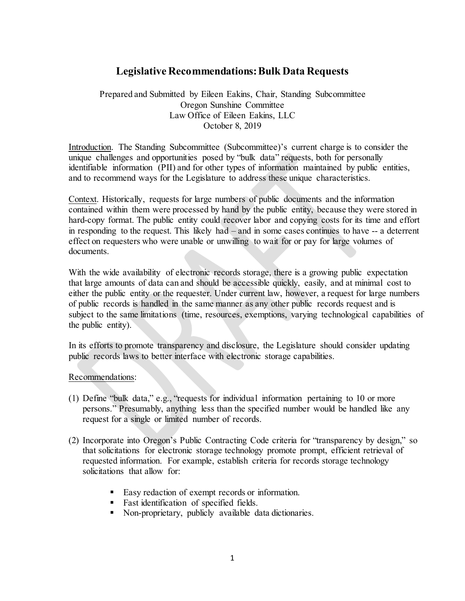## **Legislative Recommendations: Bulk Data Requests**

Prepared and Submitted by Eileen Eakins, Chair, Standing Subcommittee Oregon Sunshine Committee Law Office of Eileen Eakins, LLC October 8, 2019

Introduction. The Standing Subcommittee (Subcommittee)'s current charge is to consider the unique challenges and opportunities posed by "bulk data" requests, both for personally identifiable information (PII) and for other types of information maintained by public entities, and to recommend ways for the Legislature to address these unique characteristics.

Context. Historically, requests for large numbers of public documents and the information contained within them were processed by hand by the public entity, because they were stored in hard-copy format. The public entity could recover labor and copying costs for its time and effort in responding to the request. This likely had – and in some cases continues to have -- a deterrent effect on requesters who were unable or unwilling to wait for or pay for large volumes of documents.

With the wide availability of electronic records storage, there is a growing public expectation that large amounts of data can and should be accessible quickly, easily, and at minimal cost to either the public entity or the requester. Under current law, however, a request for large numbers of public records is handled in the same manner as any other public records request and is subject to the same limitations (time, resources, exemptions, varying technological capabilities of the public entity).

In its efforts to promote transparency and disclosure, the Legislature should consider updating public records laws to better interface with electronic storage capabilities.

Recommendations:

- (1) Define "bulk data," e.g., "requests for individual information pertaining to 10 or more persons." Presumably, anything less than the specified number would be handled like any request for a single or limited number of records.
- (2) Incorporate into Oregon's Public Contracting Code criteria for "transparency by design," so that solicitations for electronic storage technology promote prompt, efficient retrieval of requested information. For example, establish criteria for records storage technology solicitations that allow for:
	- Easy redaction of exempt records or information.
	- **Fast identification of specified fields.**
	- Non-proprietary, publicly available data dictionaries.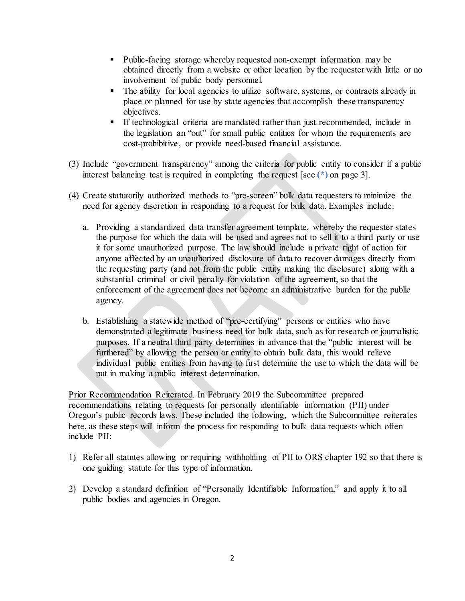- Public-facing storage whereby requested non-exempt information may be obtained directly from a website or other location by the requester with little or no involvement of public body personnel.
- The ability for local agencies to utilize software, systems, or contracts already in place or planned for use by state agencies that accomplish these transparency objectives.
- If technological criteria are mandated rather than just recommended, include in the legislation an "out" for small public entities for whom the requirements are cost-prohibitive, or provide need-based financial assistance.
- (3) Include "government transparency" among the criteria for public entity to consider if a public interest balancing test is required in completing the request [see **(\*)** on page 3].
- (4) Create statutorily authorized methods to "pre-screen" bulk data requesters to minimize the need for agency discretion in responding to a request for bulk data. Examples include:
	- a. Providing a standardized data transfer agreement template, whereby the requester states the purpose for which the data will be used and agrees not to sell it to a third party or use it for some unauthorized purpose. The law should include a private right of action for anyone affected by an unauthorized disclosure of data to recover damages directly from the requesting party (and not from the public entity making the disclosure) along with a substantial criminal or civil penalty for violation of the agreement, so that the enforcement of the agreement does not become an administrative burden for the public agency.
	- b. Establishing a statewide method of "pre-certifying" persons or entities who have demonstrated a legitimate business need for bulk data, such as for research or journalistic purposes. If a neutral third party determines in advance that the "public interest will be furthered" by allowing the person or entity to obtain bulk data, this would relieve individual public entities from having to first determine the use to which the data will be put in making a public interest determination.

Prior Recommendation Reiterated. In February 2019 the Subcommittee prepared recommendations relating to requests for personally identifiable information (PII) under Oregon's public records laws. These included the following, which the Subcommittee reiterates here, as these steps will inform the process for responding to bulk data requests which often include PII:

- 1) Refer all statutes allowing or requiring withholding of PII to ORS chapter 192 so that there is one guiding statute for this type of information.
- 2) Develop a standard definition of "Personally Identifiable Information," and apply it to all public bodies and agencies in Oregon.